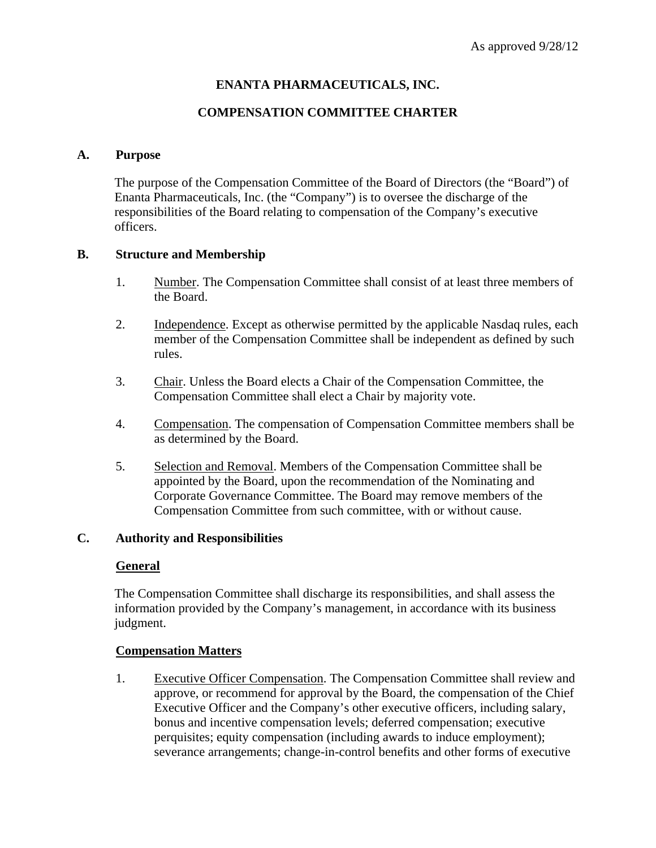# **ENANTA PHARMACEUTICALS, INC.**

# **COMPENSATION COMMITTEE CHARTER**

### **A. Purpose**

The purpose of the Compensation Committee of the Board of Directors (the "Board") of Enanta Pharmaceuticals, Inc. (the "Company") is to oversee the discharge of the responsibilities of the Board relating to compensation of the Company's executive officers.

### **B. Structure and Membership**

- 1. Number. The Compensation Committee shall consist of at least three members of the Board.
- 2. Independence. Except as otherwise permitted by the applicable Nasdaq rules, each member of the Compensation Committee shall be independent as defined by such rules.
- 3. Chair. Unless the Board elects a Chair of the Compensation Committee, the Compensation Committee shall elect a Chair by majority vote.
- 4. Compensation. The compensation of Compensation Committee members shall be as determined by the Board.
- 5. Selection and Removal. Members of the Compensation Committee shall be appointed by the Board, upon the recommendation of the Nominating and Corporate Governance Committee. The Board may remove members of the Compensation Committee from such committee, with or without cause.

### **C. Authority and Responsibilities**

#### **General**

The Compensation Committee shall discharge its responsibilities, and shall assess the information provided by the Company's management, in accordance with its business judgment.

### **Compensation Matters**

1. Executive Officer Compensation. The Compensation Committee shall review and approve, or recommend for approval by the Board, the compensation of the Chief Executive Officer and the Company's other executive officers, including salary, bonus and incentive compensation levels; deferred compensation; executive perquisites; equity compensation (including awards to induce employment); severance arrangements; change-in-control benefits and other forms of executive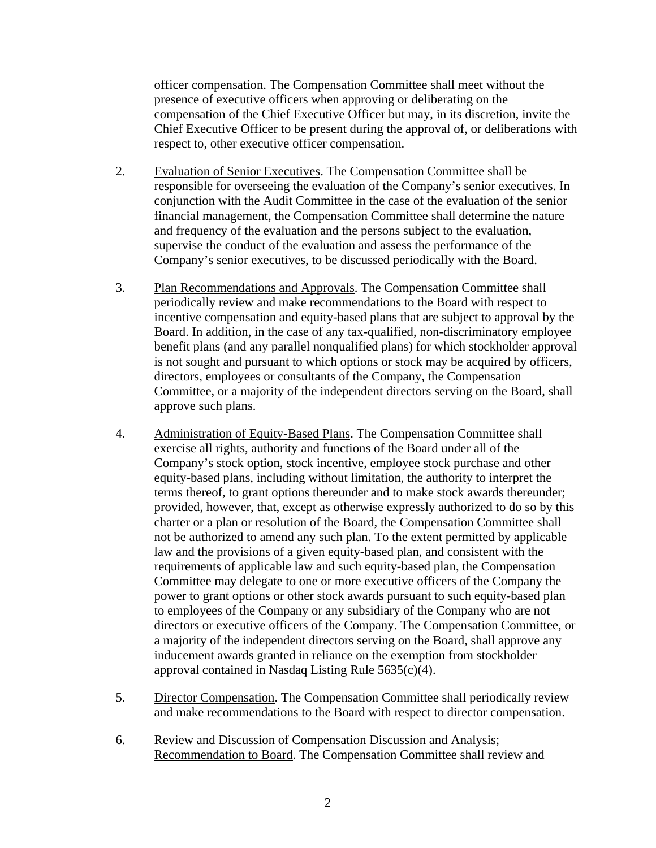officer compensation. The Compensation Committee shall meet without the presence of executive officers when approving or deliberating on the compensation of the Chief Executive Officer but may, in its discretion, invite the Chief Executive Officer to be present during the approval of, or deliberations with respect to, other executive officer compensation.

- 2. Evaluation of Senior Executives. The Compensation Committee shall be responsible for overseeing the evaluation of the Company's senior executives. In conjunction with the Audit Committee in the case of the evaluation of the senior financial management, the Compensation Committee shall determine the nature and frequency of the evaluation and the persons subject to the evaluation, supervise the conduct of the evaluation and assess the performance of the Company's senior executives, to be discussed periodically with the Board.
- 3. Plan Recommendations and Approvals. The Compensation Committee shall periodically review and make recommendations to the Board with respect to incentive compensation and equity-based plans that are subject to approval by the Board. In addition, in the case of any tax-qualified, non-discriminatory employee benefit plans (and any parallel nonqualified plans) for which stockholder approval is not sought and pursuant to which options or stock may be acquired by officers, directors, employees or consultants of the Company, the Compensation Committee, or a majority of the independent directors serving on the Board, shall approve such plans.
- 4. Administration of Equity-Based Plans. The Compensation Committee shall exercise all rights, authority and functions of the Board under all of the Company's stock option, stock incentive, employee stock purchase and other equity-based plans, including without limitation, the authority to interpret the terms thereof, to grant options thereunder and to make stock awards thereunder; provided, however, that, except as otherwise expressly authorized to do so by this charter or a plan or resolution of the Board, the Compensation Committee shall not be authorized to amend any such plan. To the extent permitted by applicable law and the provisions of a given equity-based plan, and consistent with the requirements of applicable law and such equity-based plan, the Compensation Committee may delegate to one or more executive officers of the Company the power to grant options or other stock awards pursuant to such equity-based plan to employees of the Company or any subsidiary of the Company who are not directors or executive officers of the Company. The Compensation Committee, or a majority of the independent directors serving on the Board, shall approve any inducement awards granted in reliance on the exemption from stockholder approval contained in Nasdaq Listing Rule 5635(c)(4).
- 5. Director Compensation. The Compensation Committee shall periodically review and make recommendations to the Board with respect to director compensation.
- 6. Review and Discussion of Compensation Discussion and Analysis; Recommendation to Board. The Compensation Committee shall review and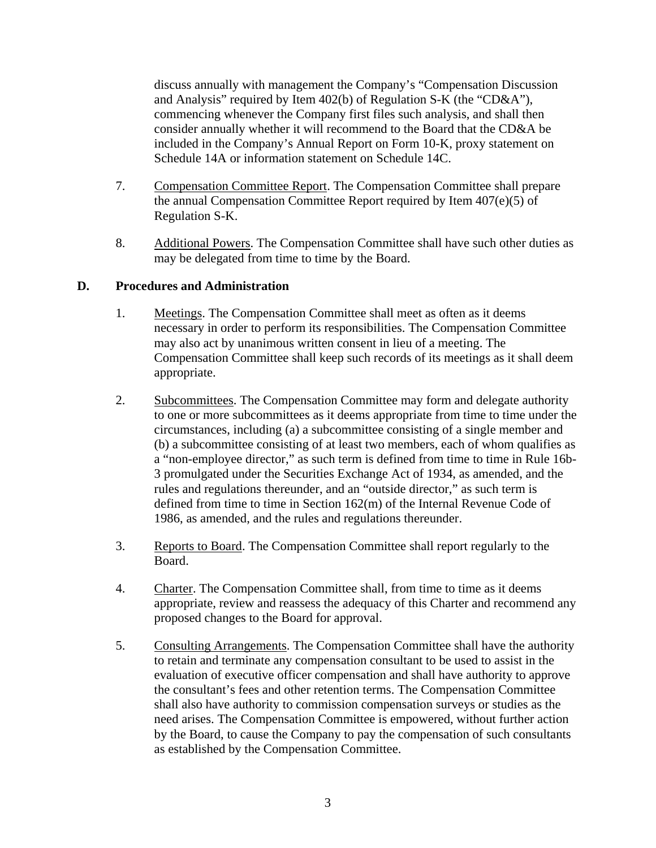discuss annually with management the Company's "Compensation Discussion and Analysis" required by Item 402(b) of Regulation S-K (the "CD&A"), commencing whenever the Company first files such analysis, and shall then consider annually whether it will recommend to the Board that the CD&A be included in the Company's Annual Report on Form 10-K, proxy statement on Schedule 14A or information statement on Schedule 14C.

- 7. Compensation Committee Report. The Compensation Committee shall prepare the annual Compensation Committee Report required by Item 407(e)(5) of Regulation S-K.
- 8. Additional Powers. The Compensation Committee shall have such other duties as may be delegated from time to time by the Board.

### **D. Procedures and Administration**

- 1. Meetings. The Compensation Committee shall meet as often as it deems necessary in order to perform its responsibilities. The Compensation Committee may also act by unanimous written consent in lieu of a meeting. The Compensation Committee shall keep such records of its meetings as it shall deem appropriate.
- 2. Subcommittees. The Compensation Committee may form and delegate authority to one or more subcommittees as it deems appropriate from time to time under the circumstances, including (a) a subcommittee consisting of a single member and (b) a subcommittee consisting of at least two members, each of whom qualifies as a "non-employee director," as such term is defined from time to time in Rule 16b-3 promulgated under the Securities Exchange Act of 1934, as amended, and the rules and regulations thereunder, and an "outside director," as such term is defined from time to time in Section 162(m) of the Internal Revenue Code of 1986, as amended, and the rules and regulations thereunder.
- 3. Reports to Board. The Compensation Committee shall report regularly to the Board.
- 4. Charter. The Compensation Committee shall, from time to time as it deems appropriate, review and reassess the adequacy of this Charter and recommend any proposed changes to the Board for approval.
- 5. Consulting Arrangements. The Compensation Committee shall have the authority to retain and terminate any compensation consultant to be used to assist in the evaluation of executive officer compensation and shall have authority to approve the consultant's fees and other retention terms. The Compensation Committee shall also have authority to commission compensation surveys or studies as the need arises. The Compensation Committee is empowered, without further action by the Board, to cause the Company to pay the compensation of such consultants as established by the Compensation Committee.